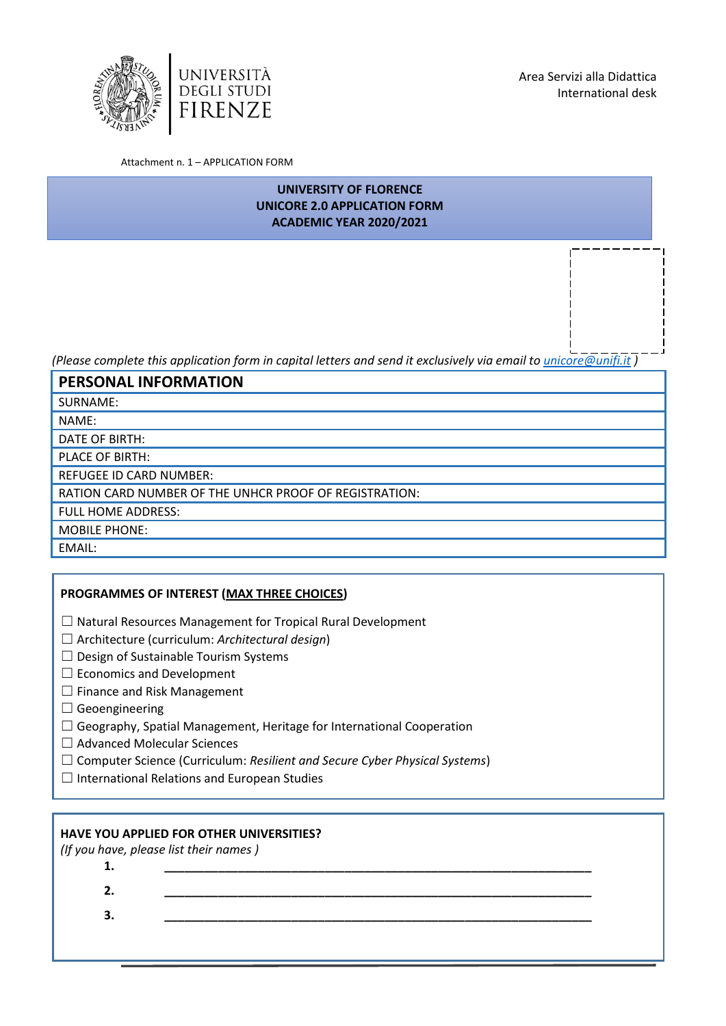



Attachment n. 1 – APPLICATION FORM

# **UNIVERSITY OF FLORENCE UNICORE 2.0 APPLICATION FORM ACADEMIC YEAR 2020/2021**

*(Please complete this application form in capital letters and send it exclusively via email t[o unicore@unifi.it](mailto:unicore@unifi.it) )*

**PERSONAL INFORMATION**

SURNAME:

NAME:

DATE OF BIRTH:

PLACE OF BIRTH:

REFUGEE ID CARD NUMBER:

RATION CARD NUMBER OF THE UNHCR PROOF OF REGISTRATION:

FULL HOME ADDRESS:

MOBILE PHONE:

EMAIL:

### **PROGRAMMES OF INTEREST (MAX THREE CHOICES)**

- ☐ Natural Resources Management for Tropical Rural Development
- ☐ Architecture (curriculum: *Architectural design*)
- $\Box$  Design of Sustainable Tourism Systems
- □ Economics and Development
- $\Box$  Finance and Risk Management
- $\Box$  Geoengineering
- ☐ Geography, Spatial Management, Heritage for International Cooperation
- ☐ Advanced Molecular Sciences
- ☐ Computer Science (Curriculum: *Resilient and Secure Cyber Physical Systems*)
- ☐ International Relations and European Studies

# **HAVE YOU APPLIED FOR OTHER UNIVERSITIES?**

*(If you have, please list their names )*

**1. \_\_\_\_\_\_\_\_\_\_\_\_\_\_\_\_\_\_\_\_\_\_\_\_\_\_\_\_\_\_\_\_\_\_\_\_\_\_\_\_\_\_\_\_\_\_\_\_\_\_\_\_\_\_\_\_\_\_\_\_\_\_\_\_ 2. \_\_\_\_\_\_\_\_\_\_\_\_\_\_\_\_\_\_\_\_\_\_\_\_\_\_\_\_\_\_\_\_\_\_\_\_\_\_\_\_\_\_\_\_\_\_\_\_\_\_\_\_\_\_\_\_\_\_\_\_\_\_\_\_ 3. \_\_\_\_\_\_\_\_\_\_\_\_\_\_\_\_\_\_\_\_\_\_\_\_\_\_\_\_\_\_\_\_\_\_\_\_\_\_\_\_\_\_\_\_\_\_\_\_\_\_\_\_\_\_\_\_\_\_\_\_\_\_\_\_**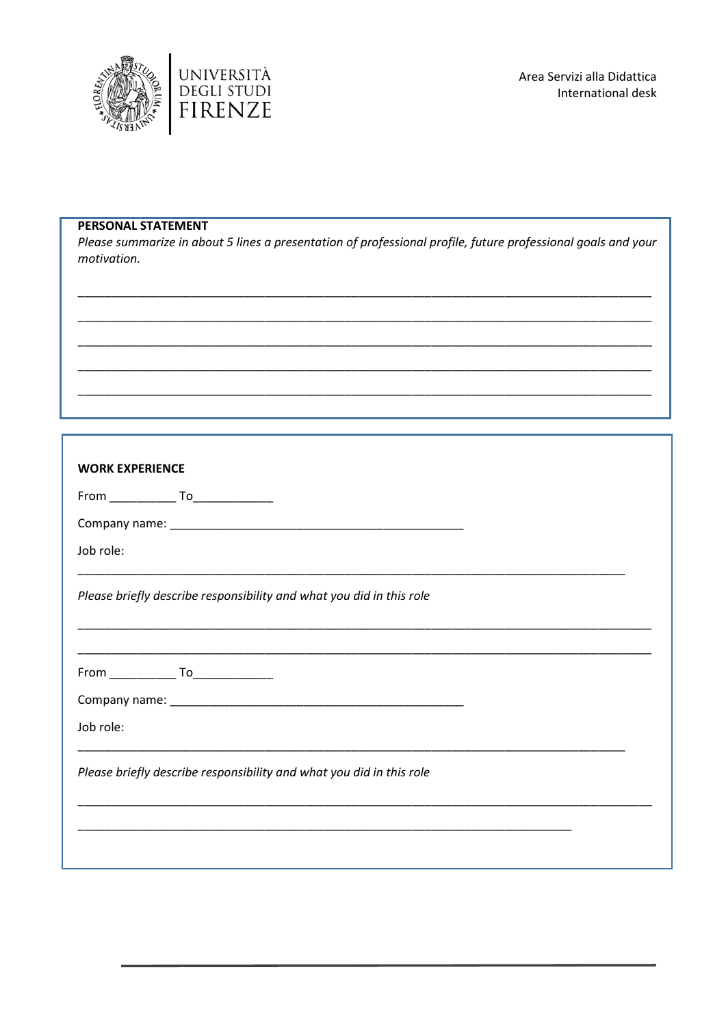



### **PERSONAL STATEMENT**

Please summarize in about 5 lines a presentation of professional profile, future professional goals and your motivation.

| <b>WORK EXPERIENCE</b>                                               |                                                                      |  |  |  |
|----------------------------------------------------------------------|----------------------------------------------------------------------|--|--|--|
|                                                                      |                                                                      |  |  |  |
|                                                                      |                                                                      |  |  |  |
| Job role:                                                            |                                                                      |  |  |  |
|                                                                      | Please briefly describe responsibility and what you did in this role |  |  |  |
|                                                                      |                                                                      |  |  |  |
| Job role:                                                            |                                                                      |  |  |  |
| Please briefly describe responsibility and what you did in this role |                                                                      |  |  |  |
|                                                                      |                                                                      |  |  |  |
|                                                                      |                                                                      |  |  |  |
|                                                                      |                                                                      |  |  |  |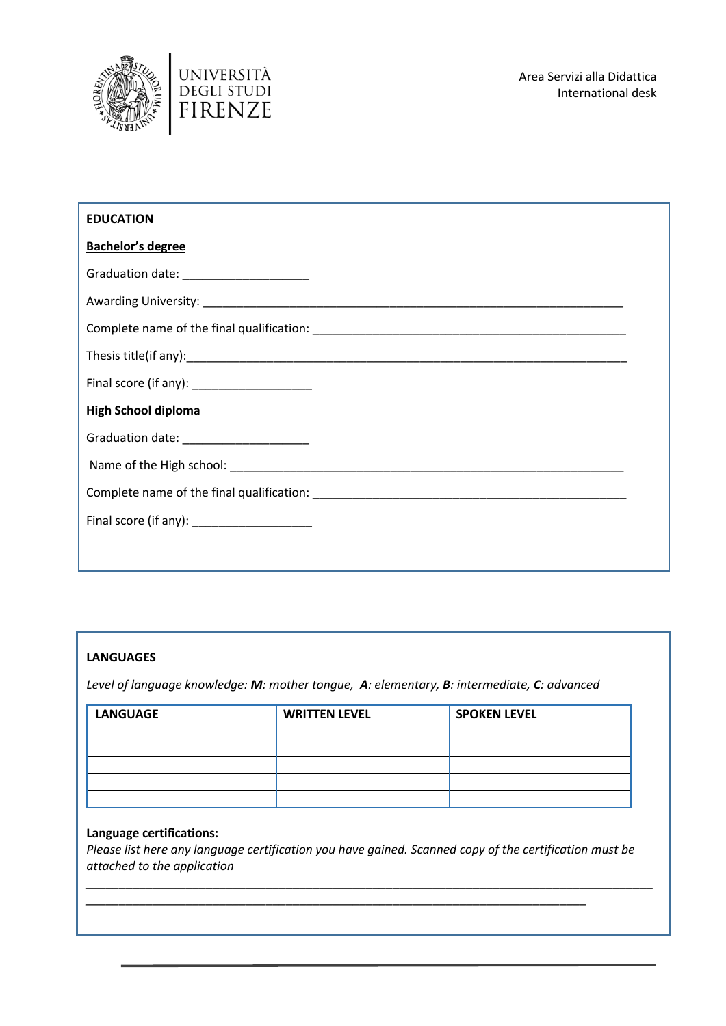



| <b>EDUCATION</b>                            |  |  |  |  |
|---------------------------------------------|--|--|--|--|
| <b>Bachelor's degree</b>                    |  |  |  |  |
| Graduation date: _______________________    |  |  |  |  |
|                                             |  |  |  |  |
|                                             |  |  |  |  |
|                                             |  |  |  |  |
| Final score (if any): ____________________  |  |  |  |  |
| <b>High School diploma</b>                  |  |  |  |  |
| Graduation date: _____________________      |  |  |  |  |
|                                             |  |  |  |  |
|                                             |  |  |  |  |
| Final score (if any): _____________________ |  |  |  |  |
|                                             |  |  |  |  |
|                                             |  |  |  |  |

### **LANGUAGES**

*Level of language knowledge: M: mother tongue, A: elementary, B: intermediate, C: advanced*

| <b>LANGUAGE</b> | <b>WRITTEN LEVEL</b> | <b>SPOKEN LEVEL</b> |
|-----------------|----------------------|---------------------|
|                 |                      |                     |
|                 |                      |                     |
|                 |                      |                     |
|                 |                      |                     |
|                 |                      |                     |

### **Language certifications:**

*Please list here any language certification you have gained. Scanned copy of the certification must be attached to the application*

*\_\_\_\_\_\_\_\_\_\_\_\_\_\_\_\_\_\_\_\_\_\_\_\_\_\_\_\_\_\_\_\_\_\_\_\_\_\_\_\_\_\_\_\_\_\_\_\_\_\_\_\_\_\_\_\_\_\_\_\_\_\_\_\_\_\_\_\_\_\_\_\_\_\_\_*

*\_\_\_\_\_\_\_\_\_\_\_\_\_\_\_\_\_\_\_\_\_\_\_\_\_\_\_\_\_\_\_\_\_\_\_\_\_\_\_\_\_\_\_\_\_\_\_\_\_\_\_\_\_\_\_\_\_\_\_\_\_\_\_\_\_\_\_\_\_\_\_\_\_\_\_\_\_\_\_\_\_\_\_\_\_*